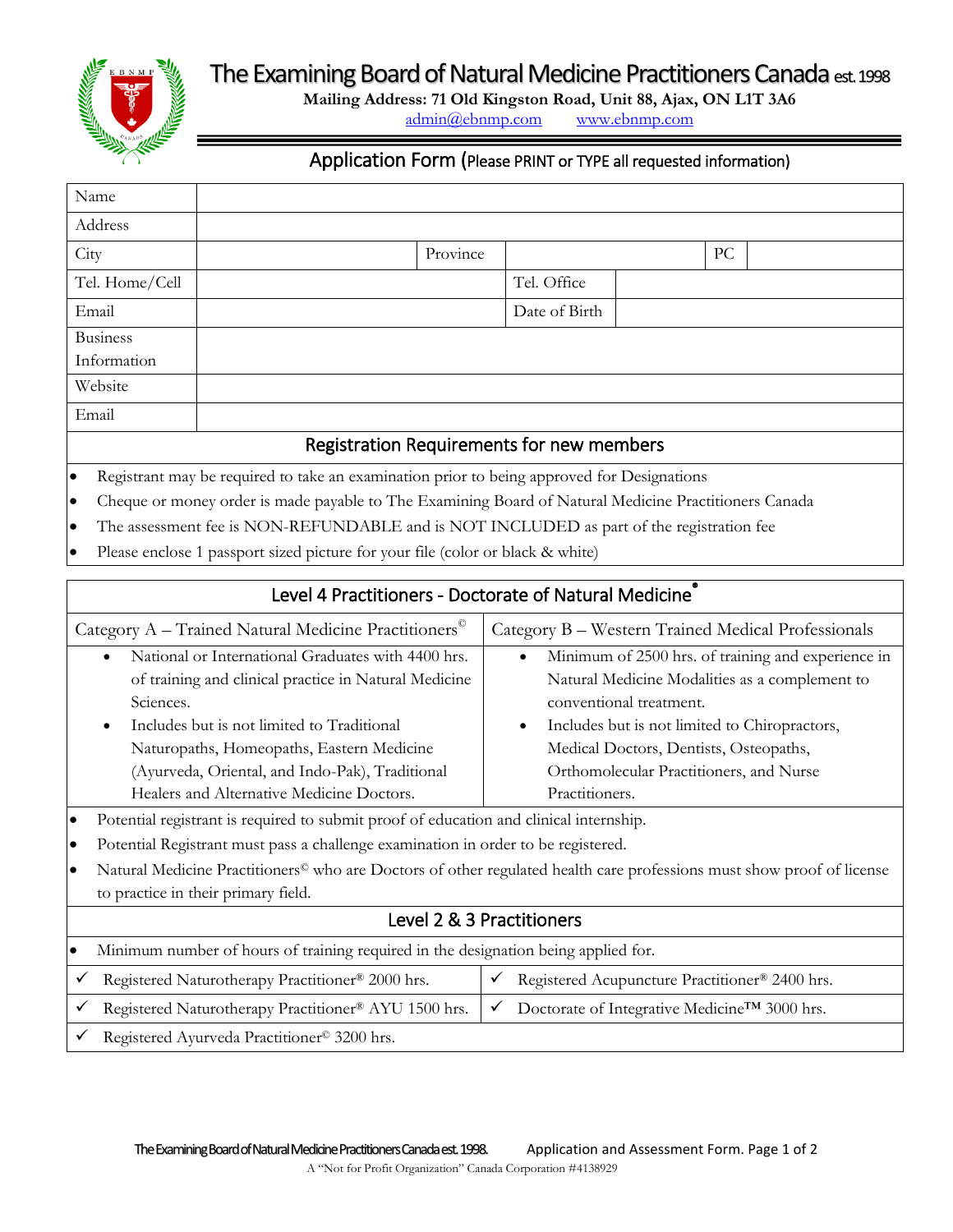The Examining Board of Natural Medicine Practitioners Canada est. 1998



**Mailing Address: 71 Old Kingston Road, Unit 88, Ajax, ON L1T 3A6** [admin@ebnmp.com](mailto:admin@ebnmp.com) [www.ebnmp.com](http://www.ebnmp.com/)

## Application Form (Please PRINT or TYPE all requested information)

| Name                                                                                             |  |          |               |  |    |  |
|--------------------------------------------------------------------------------------------------|--|----------|---------------|--|----|--|
| Address                                                                                          |  |          |               |  |    |  |
| City                                                                                             |  | Province |               |  | PC |  |
| Tel. Home/Cell                                                                                   |  |          | Tel. Office   |  |    |  |
| Email                                                                                            |  |          | Date of Birth |  |    |  |
| <b>Business</b>                                                                                  |  |          |               |  |    |  |
| Information                                                                                      |  |          |               |  |    |  |
| Website                                                                                          |  |          |               |  |    |  |
| Email                                                                                            |  |          |               |  |    |  |
| Registration Requirements for new members                                                        |  |          |               |  |    |  |
| Registrant may be required to take an examination prior to being approved for Designations<br>lo |  |          |               |  |    |  |

- ured to take an examination prior to being approved for Designations
- Cheque or money order is made payable to The Examining Board of Natural Medicine Practitioners Canada
- The assessment fee is NON-REFUNDABLE and is NOT INCLUDED as part of the registration fee
- Please enclose 1 passport sized picture for your file (color or black & white)

## Level 4 Practitioners - Doctorate of Natural Medicine<sup>®</sup>

| Category A - Trained Natural Medicine Practitioners <sup>®</sup> | Category B - Western Trained Medical Professionals              |  |  |
|------------------------------------------------------------------|-----------------------------------------------------------------|--|--|
| National or International Graduates with 4400 hrs.<br>$\bullet$  | Minimum of 2500 hrs. of training and experience in<br>$\bullet$ |  |  |
| of training and clinical practice in Natural Medicine            | Natural Medicine Modalities as a complement to                  |  |  |
| Sciences.                                                        | conventional treatment.                                         |  |  |
| Includes but is not limited to Traditional<br>$\bullet$          | Includes but is not limited to Chiropractors,<br>$\bullet$      |  |  |
| Naturopaths, Homeopaths, Eastern Medicine                        | Medical Doctors, Dentists, Osteopaths,                          |  |  |
| (Ayurveda, Oriental, and Indo-Pak), Traditional                  | Orthomolecular Practitioners, and Nurse                         |  |  |
| Healers and Alternative Medicine Doctors.                        | Practitioners.                                                  |  |  |
|                                                                  |                                                                 |  |  |

- Potential registrant is required to submit proof of education and clinical internship.
- Potential Registrant must pass a challenge examination in order to be registered.
- Natural Medicine Practitioners© who are Doctors of other regulated health care professions must show proof of license to practice in their primary field.

## Level 2 & 3 Practitioners

| $\bullet$ | Minimum number of hours of training required in the designation being applied for. |  |                                                           |  |
|-----------|------------------------------------------------------------------------------------|--|-----------------------------------------------------------|--|
|           | Registered Naturotherapy Practitioner® 2000 hrs.                                   |  | Registered Acupuncture Practitioner® 2400 hrs.            |  |
|           | Registered Naturotherapy Practitioner® AYU 1500 hrs.                               |  | Doctorate of Integrative Medicine <sup>TM</sup> 3000 hrs. |  |

Registered Ayurveda Practitioner© 3200 hrs.